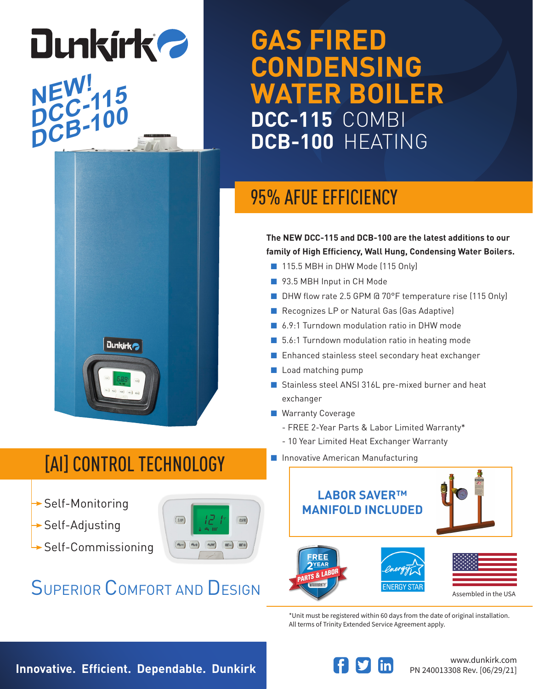# **GAS FIRED CONDENSING WATER BOILER DCC-115** COMBI **DCB-100** HEATING

## 95% AFUE EFFICIENCY

**The NEW DCC-115 and DCB-100 are the latest additions to our family of High Efficiency, Wall Hung, Condensing Water Boilers.**

- 115.5 MBH in DHW Mode (115 Only)
- 93.5 MBH Input in CH Mode
- DHW flow rate 2.5 GPM @ 70°F temperature rise (115 Only)
- Recognizes LP or Natural Gas (Gas Adaptive)
- 6.9:1 Turndown modulation ratio in DHW mode
- 5.6:1 Turndown modulation ratio in heating mode
- Enhanced stainless steel secondary heat exchanger
- Load matching pump
- Stainless steel ANSI 316L pre-mixed burner and heat exchanger
- Warranty Coverage
	- FREE 2-Year Parts & Labor Limited Warranty\*
	- 10 Year Limited Heat Exchanger Warranty
- Innovative American Manufacturing



\*Unit must be registered within 60 days from the date of original installation. All terms of Trinity Extended Service Agreement apply.

# [AI] CONTROL TECHNOLOGY

**Dunkirk** 

 $\rightarrow$  Self-Monitoring

**NEW!**

**NEW:115**<br>DCC-100

**Dunkirk 2** 

**DCB-100**

- $\rightarrow$  Self-Adjusting
- $\rightarrow$  Self-Commissioning



## SUPERIOR COMFORT AND DESIGN

**Innovative. Efficient. Dependable. Dunkirk**